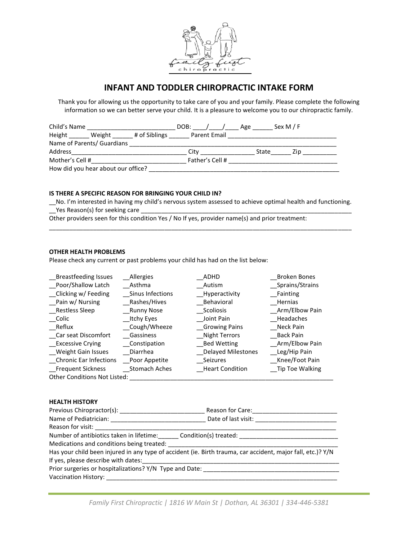

# **INFANT AND TODDLER CHIROPRACTIC INTAKE FORM**

Thank you for allowing us the opportunity to take care of you and your family. Please complete the following information so we can better serve your child. It is a pleasure to welcome you to our chiropractic family.

| Child's Name               |                                          | DOB: / / Age    |       | Sex M / F |      |
|----------------------------|------------------------------------------|-----------------|-------|-----------|------|
|                            | Height Weight # of Siblings Parent Email |                 |       |           |      |
| Name of Parents/ Guardians |                                          |                 |       |           |      |
| Address                    |                                          | City            | State |           | Zi p |
| Mother's Cell #            |                                          | Father's Cell # |       |           |      |
|                            | How did you hear about our office?       |                 |       |           |      |

### **IS THERE A SPECIFIC REASON FOR BRINGING YOUR CHILD IN?**

\_\_No. I'm interested in having my child's nervous system assessed to achieve optimal health and functioning. \_\_Yes Reason(s) for seeking care \_\_\_\_\_\_\_\_\_\_\_\_\_\_\_\_\_\_\_\_\_\_\_\_\_\_\_\_\_\_\_\_\_\_\_\_\_\_\_\_\_\_\_\_\_\_\_\_\_\_\_\_\_\_\_\_\_\_\_\_\_\_

\_\_\_\_\_\_\_\_\_\_\_\_\_\_\_\_\_\_\_\_\_\_\_\_\_\_\_\_\_\_\_\_\_\_\_\_\_\_\_\_\_\_\_\_\_\_\_\_\_\_\_\_\_\_\_\_\_\_\_\_\_\_\_\_\_\_\_\_\_\_\_\_\_\_\_\_\_\_\_\_\_\_\_\_\_\_\_\_\_

Other providers seen for this condition Yes / No If yes, provider name(s) and prior treatment:

### **OTHER HEALTH PROBLEMS**

Please check any current or past problems your child has had on the list below:

| <b>Breastfeeding Issues</b>         | Allergies            | ADHD                      | Broken Bones    |  |
|-------------------------------------|----------------------|---------------------------|-----------------|--|
| Poor/Shallow Latch                  | Asthma               | Autism                    | Sprains/Strains |  |
| Clicking w/ Feeding                 | Sinus Infections     | Hyperactivity             | Fainting        |  |
| Pain w/ Nursing                     | Rashes/Hives         | Behavioral                | Hernias         |  |
| Restless Sleep                      | <b>Runny Nose</b>    | Scoliosis                 | Arm/Elbow Pain  |  |
| Colic                               | Itchy Eyes           | Joint Pain                | Headaches       |  |
| Reflux                              | Cough/Wheeze         | <b>Growing Pains</b>      | Neck Pain       |  |
| Car seat Discomfort                 | Gassiness            | Night Terrors             | Back Pain       |  |
| <b>Excessive Crying</b>             | Constipation         | <b>Bed Wetting</b>        | Arm/Elbow Pain  |  |
| Weight Gain Issues                  | <b>Diarrhea</b>      | <b>Delayed Milestones</b> | Leg/Hip Pain    |  |
| Chronic Ear Infections              | Poor Appetite        | Seizures                  | Knee/Foot Pain  |  |
| Frequent Sickness                   | <b>Stomach Aches</b> | <b>Heart Condition</b>    | Tip Toe Walking |  |
| <b>Other Conditions Not Listed:</b> |                      |                           |                 |  |

#### **HEALTH HISTORY**

|                                                                                                             | Reason for Care:    |  |  |  |
|-------------------------------------------------------------------------------------------------------------|---------------------|--|--|--|
|                                                                                                             | Date of last visit: |  |  |  |
|                                                                                                             |                     |  |  |  |
| Number of antibiotics taken in lifetime: Condition(s) treated:                                              |                     |  |  |  |
|                                                                                                             |                     |  |  |  |
| Has your child been injured in any type of accident (ie. Birth trauma, car accident, major fall, etc.)? Y/N |                     |  |  |  |
| If yes, please describe with dates:                                                                         |                     |  |  |  |
| Prior surgeries or hospitalizations? Y/N Type and Date: _________                                           |                     |  |  |  |
| Vaccination History: National State of the March 1997                                                       |                     |  |  |  |
|                                                                                                             |                     |  |  |  |